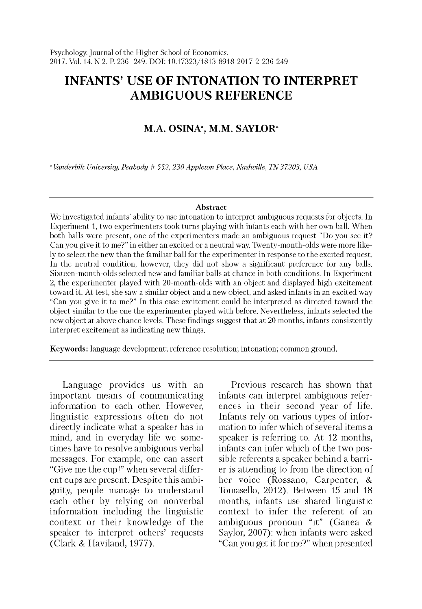# **INFANTS' USE OF INTONATION TO INTERPRET AMBIGUOUS REFERENCE**

# **M.A. OSINA<sup>a</sup>, M.M. SAYLOR<sup>a</sup>**

*a Vanderbilt University, Peabody # 552,230 Appleton Place, Nashville, TN 37203, USA*

#### **Abstract**

We investigated infants' ability to use intonation to interpret ambiguous requests for objects. In Experiment 1, two experimenters took turns playing with infants each with her own ball. When both balls were present, one of the experimenters made an ambiguous request "Do you see it? Can you give it to me?" in either an excited or a neutral way. Twenty-month-olds were more likely to select the new than the familiar ball for the experimenter in response to the excited request. In the neutral condition, however, they did not show a significant preference for any balls. Sixteen-month-olds selected new and familiar balls at chance in both conditions. In Experiment 2, the experimenter played with 20-month-olds with an object and displayed high excitement toward it. At test, she saw a similar object and a new object, and asked infants in an excited way "Can you give it to me?" In this case excitement could be interpreted as directed tow ard the object similar to the one the experimenter played w ith before. Nevertheless, infants selected the new object at above chance levels. These findings suggest that at 20 months, infants consistently interpret excitement as indicating new things.

Keywords: language development; reference resolution; intonation; common ground.

Language provides us with an important means of communicating information to each other. However, linguistic expressions often do not directly indicate what a speaker has in mind, and in everyday life we sometimes have to resolve ambiguous verbal messages. For example, one can assert "Give me the cup!" when several different cups are present. Despite this ambiguity, people manage to understand each other by relying on nonverbal information including the linguistic context or their knowledge of the speaker to interpret others' requests (Clark & Haviland, 1977).

Previous research has shown that infants can interpret ambiguous references in their second year of life. Infants rely on various types of information to infer which of several items a speaker is referring to. At 12 months, infants can infer which of the two possible referents a speaker behind a barrier is attending to from the direction of her voice (Rossano, Carpenter, & Tomasello, 2012). Between 15 and 18 months, infants use shared linguistic context to infer the referent of an ambiguous pronoun "it" (Ganea & Saylor, 2007): when infants were asked "Can you get it for me?" when presented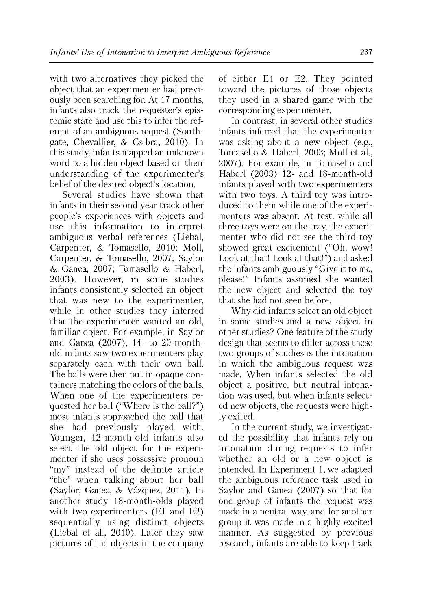with two alternatives they picked the object that an experimenter had previously been searching for. At 17 months, infants also track the requester's epistemic state and use this to infer the referent of an ambiguous request (Southgate, Chevallier, & Csibra, 2010). In this study, infants mapped an unknown word to a hidden object based on their understanding of the experimenter's belief of the desired object's location.

Several studies have shown that infants in their second year track other people's experiences with objects and use this information to interpret ambiguous verbal references (Liebal, Carpenter, & Tomasello, 2010; Moll, Carpenter, & Tomasello, 2007; Saylor & Ganea, 2007; Tomasello & Haberl, 2003). However, in some studies infants consistently selected an object that was new to the experimenter, while in other studies they inferred that the experimenter wanted an old, familiar object. For example, in Saylor and Ganea (2007), 14- to 20-monthold infants saw two experimenters play separately each with their own ball. The balls were then put in opaque containers matching the colors of the balls. When one of the experimenters requested her ball ("Where is the ball?") most infants approached the ball that she had previously played with. Younger, 12-month-old infants also select the old object for the experimenter if she uses possessive pronoun "my" instead of the definite article "the" when talking about her ball (Saylor, Ganea, & Vazquez, 2011). In another study 18-month-olds played with two experimenters (E1 and E2) sequentially using distinct objects (Liebal et al., 2010). Later they saw pictures of the objects in the company of either E1 or E2. They pointed toward the pictures of those objects they used in a shared game with the corresponding experimenter.

In contrast, in several other studies infants inferred that the experimenter was asking about a new object (e.g., Tomasello & Haberl, 2003; Moll et al., 2007). For example, in Tomasello and Haberl (2003) 12- and 18-month-old infants played with two experimenters with two toys. A third toy was introduced to them while one of the experimenters was absent. At test, while all three toys were on the tray, the experimenter who did not see the third toy showed great excitement ("Oh, wow! Look at that! Look at that!") and asked the infants ambiguously "Give it to me, please!" Infants assumed she wanted the new object and selected the toy that she had not seen before.

Why did infants select an old object in some studies and a new object in other studies? One feature of the study design that seems to differ across these two groups of studies is the intonation in which the ambiguous request was made. When infants selected the old object a positive, but neutral intonation was used, but when infants selected new objects, the requests were highly exited.

In the current study, we investigated the possibility that infants rely on intonation during requests to infer whether an old or a new object is intended. In Experiment 1, we adapted the ambiguous reference task used in Saylor and Ganea (2007) so that for one group of infants the request was made in a neutral way, and for another group it was made in a highly excited manner. As suggested by previous research, infants are able to keep track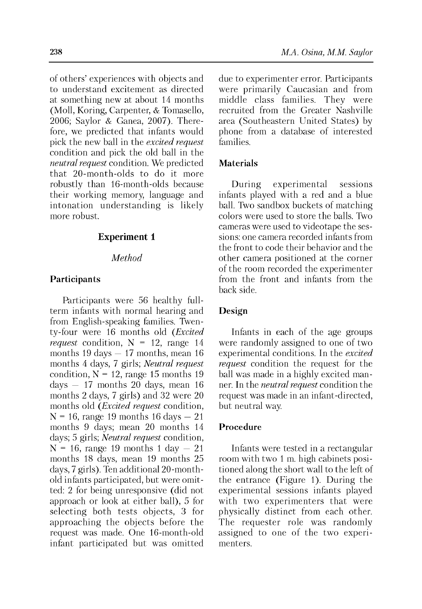of others' experiences with objects and to understand excitement as directed at something new at about 14 months (Moll, Koring, Carpenter, & Tomasello, 2006; Saylor & Ganea, 2007). Therefore, we predicted that infants would pick the new ball in the *excited request* condition and pick the old ball in the *neutral request* condition. We predicted that 20-month-olds to do it more robustly than 16-month-olds because their working memory, language and intonation understanding is likely more robust.

# **Experiment 1**

# *Method*

### **Participants**

Participants were 56 healthy fullterm infants with normal hearing and from English-speaking families. Twenty-four were 16 months old *(Excited request* condition,  $N = 12$ , range 14 months 19 days  $-17$  months, mean 16 months 4 days, 7 girls; *Neutral request* condition,  $N = 12$ , range 15 months 19 days  $-17$  months 20 days, mean 16 months 2 days, 7 girls) and 32 were 20 months old (*Excited request* condition,  $N = 16$ , range 19 months 16 days  $-21$ months 9 days; mean 20 months 14 days; 5 girls; *Neutral request* condition,  $N = 16$ , range 19 months 1 day  $-21$ months 18 days, mean 19 months 25 days, 7 girls). Ten additional 20-monthold infants participated, but were omitted: 2 for being unresponsive (did not approach or look at either ball), 5 for selecting both tests objects, 3 for approaching the objects before the request was made. One 16-month-old infant participated but was omitted

due to experimenter error. Participants were primarily Caucasian and from middle class families. They were recruited from the Greater Nashville area (Southeastern United States) by phone from a database of interested families.

#### **Materials**

During experimental sessions infants played with a red and a blue ball. Two sandbox buckets of matching colors were used to store the balls. Two cameras were used to videotape the sessions: one camera recorded infants from the front to code their behavior and the other camera positioned at the corner of the room recorded the experimenter from the front and infants from the back side.

#### **Design**

Infants in each of the age groups were randomly assigned to one of two experimental conditions. In the *excited request* condition the request for the ball was made in a highly excited manner. In the *neutral request* condition the request was made in an infant-directed, but neutral way.

### **Procedure**

Infants were tested in a rectangular room with two 1 m. high cabinets positioned along the short wall to the left of the entrance (Figure 1). During the experimental sessions infants played with two experimenters that were physically distinct from each other. The requester role was randomly assigned to one of the two experimenters.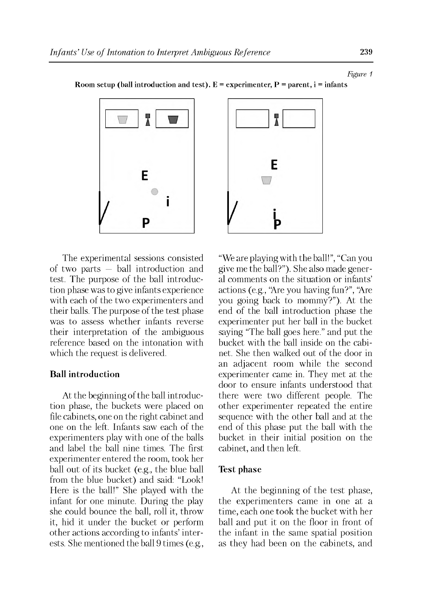Room setup (ball introduction and test).  $E =$  experimenter,  $P =$  parent,  $i =$  infants



The experimental sessions consisted of two parts — ball introduction and test. The purpose of the ball introduction phase was to give infants experience with each of the two experimenters and their balls. The purpose of the test phase was to assess whether infants reverse their interpretation of the ambiguous reference based on the intonation with which the request is delivered.

#### **Ball introduction**

At the beginning of the ball introduction phase, the buckets were placed on file cabinets, one on the right cabinet and one on the left. Infants saw each of the experimenters play with one of the balls and label the ball nine times. The first experimenter entered the room, took her ball out of its bucket (e.g., the blue ball from the blue bucket) and said: "Look! Here is the ball!" She played with the infant for one minute. During the play she could bounce the ball, roll it, throw it, hid it under the bucket or perform other actions according to infants' interests. She mentioned the ball 9 times (e.g.,



"We are playing with the ball!", "Can you give me the ball?"). She also made general comments on the situation or infants' actions (e.g., "Are you having fun?", "Are you going back to mommy?"). At the end of the ball introduction phase the experimenter put her ball in the bucket saying "The ball goes here." and put the bucket with the ball inside on the cabinet. She then walked out of the door in an adjacent room while the second experimenter came in. They met at the door to ensure infants understood that there were two different people. The other experimenter repeated the entire sequence with the other ball and at the end of this phase put the ball with the bucket in their initial position on the cabinet, and then left.

#### **Test phase**

At the beginning of the test phase, the experimenters came in one at a time, each one took the bucket with her ball and put it on the floor in front of the infant in the same spatial position as they had been on the cabinets, and

*Figure 1*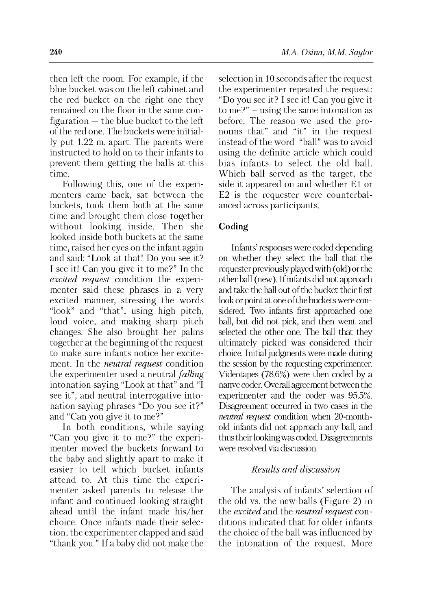then left the room. For example, if the blue bucket was on the left cabinet and the red bucket on the right one they remained on the floor in the same configuration — the blue bucket to the left of the red one. The buckets were initially put 1.22 m. apart. The parents were instructed to hold on to their infants to prevent them getting the balls at this time.

Following this, one of the experimenters came back, sat between the buckets, took them both at the same time and brought them close together without looking inside. Then she looked inside both buckets at the same time, raised her eyes on the infant again and said: "Look at that! Do you see it? I see it! Can you give it to me?" In the *excited request* condition the experimenter said these phrases in a very excited manner, stressing the words "look" and "that", using high pitch, loud voice, and making sharp pitch changes. She also brought her palms together at the beginning of the request to make sure infants notice her excitement. In the *neutral request* condition the experimenter used a neutral *falling* intonation saying "Look at that" and "I see it", and neutral interrogative intonation saying phrases "Do you see it?" and "Can you give it to me?"

In both conditions, while saying "Can you give it to me?" the experimenter moved the buckets forward to the baby and slightly apart to make it easier to tell which bucket infants attend to. At this time the experimenter asked parents to release the infant and continued looking straight ahead until the infant made his/her choice. Once infants made their selection, the experimenter clapped and said "thank you." If a baby did not make the

**240** *M.A. Osina, M.M. Saylor*

selection in 10 seconds after the request the experimenter repeated the request: "Do you see it? I see it! Can you give it to me?" - using the same intonation as before. The reason we used the pronouns that" and "it" in the request instead of the word "ball" was to avoid using the definite article which could bias infants to select the old ball. Which ball served as the target, the side it appeared on and whether E1 or E2 is the requester were counterbalanced across participants.

#### **Coding**

Infants' responses were coded depending on whether they select the ball that the requester previously played with (old) or the other ball (new). If infants did not approach and take the ball out of the bucket their first look or point at one of the buckets were considered. Two infants first approached one ball, but did not pick, and then went and selected the other one. The ball that they ultimately picked was considered their choice. Initial judgments were made during the session by the requesting experimenter. Videotapes (78.6%) were then coded by a nanve coder. Overall agreement between the experimenter and the coder was 95.5%. Disagreement occurred in two cases in the *neutral request* condition when 20-monthold infants did not approach any ball, and thus their looking was coded. Disagreements were resolved via discussion.

# *Results and discussion*

The analysis of infants' selection of the old vs. the new balls (Figure 2) in the *excited* and the *neutral request* conditions indicated that for older infants the choice of the ball was influenced by the intonation of the request. More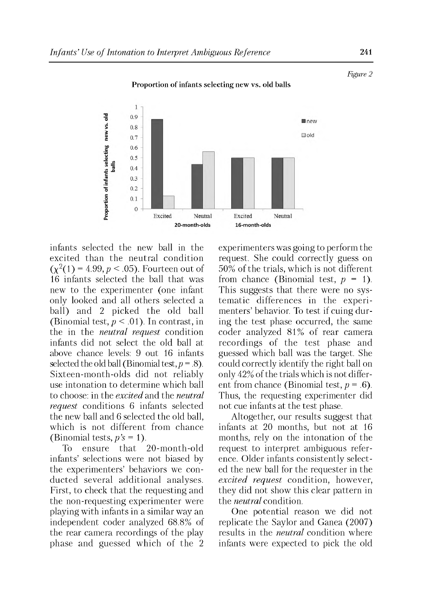

Proportion of infants selecting new vs. old balls

infants selected the new ball in the excited than the neutral condition  $(\chi^2(1) = 4.99, p < .05)$ . Fourteen out of 16 infants selected the ball that was new to the experimenter (one infant only looked and all others selected a ball) and 2 picked the old ball (Binomial test,  $p < .01$ ). In contrast, in the in the *neutral request* condition infants did not select the old ball at above chance levels: 9 out 16 infants selected the old ball (Binomial test,  $p = .8$ ). Sixteen-month-olds did not reliably use intonation to determine which ball to choose: in the *excited* and the *neutral request* conditions 6 infants selected the new ball and 6 selected the old ball, which is not different from chance (Binomial tests,  $p's = 1$ ).

To ensure that 20-month-old infants' selections were not biased by the experimenters' behaviors we conducted several additional analyses. First, to check that the requesting and the non-requesting experimenter were playing with infants in a similar way an independent coder analyzed 68.8% of the rear camera recordings of the play phase and guessed which of the 2 experimenters was going to perform the request. She could correctly guess on 50% of the trials, which is not different from chance (Binomial test,  $p = 1$ ). This suggests that there were no systematic differences in the experimenters' behavior. To test if cuing during the test phase occurred, the same coder analyzed 81% of rear camera recordings of the test phase and guessed which ball was the target. She could correctly identify the right ball on only 42% of the trials which is not different from chance (Binomial test, *p* = .6). Thus, the requesting experimenter did not cue infants at the test phase.

Altogether, our results suggest that infants at 20 months, but not at 16 months, rely on the intonation of the request to interpret ambiguous reference. Older infants consistently selected the new ball for the requester in the *excited request* condition, however, they did not show this clear pattern in the *neutral* condition.

One potential reason we did not replicate the Saylor and Ganea (2007) results in the *neutral* condition where infants were expected to pick the old

*Figure 2*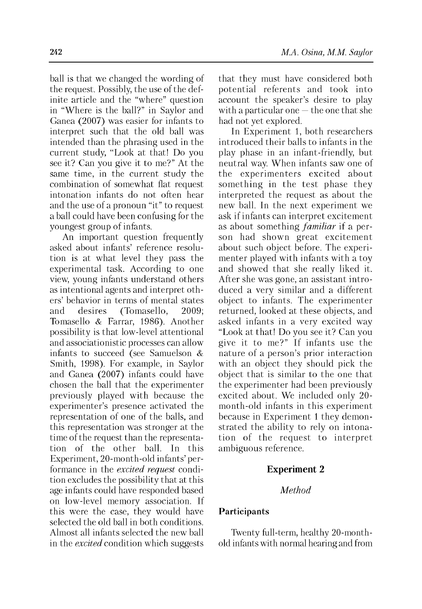ball is that we changed the wording of the request. Possibly, the use of the definite article and the "where" question in "Where is the ball?" in Saylor and Ganea (2007) was easier for infants to interpret such that the old ball was intended than the phrasing used in the current study, "Look at that! Do you see it? Can you give it to me?" At the same time, in the current study the combination of somewhat flat request intonation infants do not often hear and the use of a pronoun "it" to request a ball could have been confusing for the youngest group of infants.

An important question frequently asked about infants' reference resolution is at what level they pass the experimental task. According to one view, young infants understand others as intentional agents and interpret others' behavior in terms of mental states and desires (Tomasello, 2009; Tomasello & Farrar, 1986). Another possibility is that low-level attentional and associationistic processes can allow infants to succeed (see Samuelson & Smith, 1998). For example, in Saylor and Ganea (2007) infants could have chosen the ball that the experimenter previously played with because the experimenter's presence activated the representation of one of the balls, and this representation was stronger at the time of the request than the representation of the other ball. In this Experiment, 20-month-old infants' performance in the *excited request* condition excludes the possibility that at this age infants could have responded based on low-level memory association. If this were the case, they would have selected the old ball in both conditions. Almost all infants selected the new ball in the *excited* condition which suggests

that they must have considered both potential referents and took into account the speaker's desire to play with a particular one — the one that she had not yet explored.

In Experiment 1, both researchers introduced their balls to infants in the play phase in an infant-friendly, but neutral way. When infants saw one of the experimenters excited about something in the test phase they interpreted the request as about the new ball. In the next experiment we ask if infants can interpret excitement as about something *familiar* if a person had shown great excitement about such object before. The experimenter played with infants with a toy and showed that she really liked it. After she was gone, an assistant introduced a very similar and a different object to infants. The experimenter returned, looked at these objects, and asked infants in a very excited way "Look at that! Do you see it? Can you give it to me?" If infants use the nature of a person's prior interaction with an object they should pick the object that is similar to the one that the experimenter had been previously excited about. We included only 20 month-old infants in this experiment because in Experiment 1 they demonstrated the ability to rely on intonation of the request to interpret ambiguous reference.

### **Experiment 2**

### *Method*

### **Participants**

Twenty full-term, healthy 20-monthold infants with normal hearing and from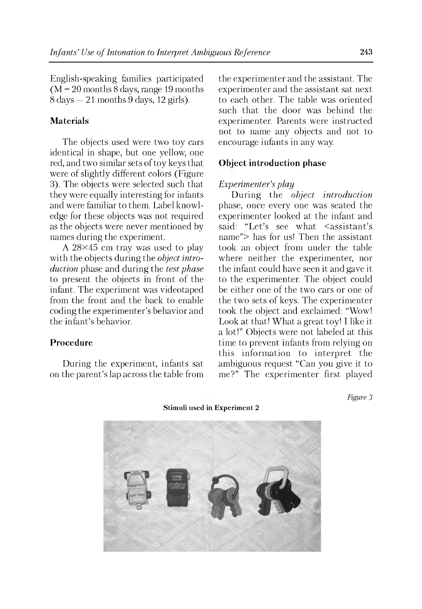English-speaking families participated  $(M = 20$  months 8 days, range 19 months  $8 \text{ days} - 21 \text{ months} 9 \text{ days}$ , 12 girls).

### **Materials**

The objects used were two toy cars identical in shape, but one yellow, one red, and two similar sets of toy keys that were of slightly different colors (Figure 3). The objects were selected such that they were equally interesting for infants and were familiar to them. Label knowledge for these objects was not required as the objects were never mentioned by names during the experiment.

A 28X45 cm tray was used to play with the objects during the *object introduction* phase and during the *test phase* to present the objects in front of the infant. The experiment was videotaped from the front and the back to enable coding the experimenter's behavior and the infant's behavior.

#### **Procedure**

During the experiment, infants sat on the parent's lap across the table from the experimenter and the assistant. The experimenter and the assistant sat next to each other. The table was oriented such that the door was behind the experimenter. Parents were instructed not to name any objects and not to encourage infants in any way.

#### **Object introduction phase**

### *Experimenter's play*

During the *object introduction* phase, once every one was seated the experimenter looked at the infant and said: "Let's see what <assistant's name"> has for us! Then the assistant took an object from under the table where neither the experimenter, nor the infant could have seen it and gave it to the experimenter. The object could be either one of the two cars or one of the two sets of keys. The experimenter took the object and exclaimed: "Wow! Look at that! What a great toy! I like it a lot!" Objects were not labeled at this time to prevent infants from relying on this information to interpret the ambiguous request "Can you give it to me?" The experimenter first played

*Figure 3*



Stimuli used i Experiment 2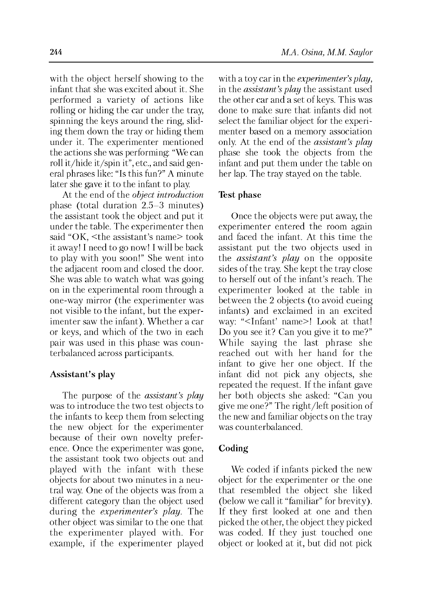with the object herself showing to the infant that she was excited about it. She performed a variety of actions like rolling or hiding the car under the tray, spinning the keys around the ring, sliding them down the tray or hiding them under it. The experimenter mentioned the actions she was performing: "We can roll it/hide it/spin it", etc., and said general phrases like: "Is this fun?" A minute later she gave it to the infant to play.

At the end of the *object introduction* phase (total duration 2.5-3 minutes) the assistant took the object and put it under the table. The experimenter then said "OK, <the assistant's name> took it away! I need to go now! I will be back to play with you soon!" She went into the adjacent room and closed the door. She was able to watch what was going on in the experimental room through a one-way mirror (the experimenter was not visible to the infant, but the experimenter saw the infant). Whether a car or keys, and which of the two in each pair was used in this phase was counterbalanced across participants.

#### **Assistant's play**

The purpose of the *assistant's play* was to introduce the two test objects to the infants to keep them from selecting the new object for the experimenter because of their own novelty preference. Once the experimenter was gone, the assistant took two objects out and played with the infant with these objects for about two minutes in a neutral way. One of the objects was from a different category than the object used during the *experimenter's play.* The other object was similar to the one that the experimenter played with. For example, if the experimenter played with a toy car in the *experimenter's play*, in the *assistant's play* the assistant used the other car and a set of keys. This was done to make sure that infants did not select the familiar object for the experimenter based on a memory association only. At the end of the *assistant's play* phase she took the objects from the infant and put them under the table on her lap. The tray stayed on the table.

#### **Test phase**

Once the objects were put away, the experimenter entered the room again and faced the infant. At this time the assistant put the two objects used in the *assistant's play* on the opposite sides of the tray. She kept the tray close to herself out of the infant's reach. The experimenter looked at the table in between the 2 objects (to avoid cueing infants) and exclaimed in an excited way: "<Infant' name>! Look at that! Do you see it? Can you give it to me?" While saying the last phrase she reached out with her hand for the infant to give her one object. If the infant did not pick any objects, she repeated the request. If the infant gave her both objects she asked: "Can you give me one?" The right/left position of the new and familiar objects on the tray was counterbalanced.

### **Coding**

We coded if infants picked the new object for the experimenter or the one that resembled the object she liked (below we call it "familiar" for brevity). If they first looked at one and then picked the other, the object they picked was coded. If they just touched one object or looked at it, but did not pick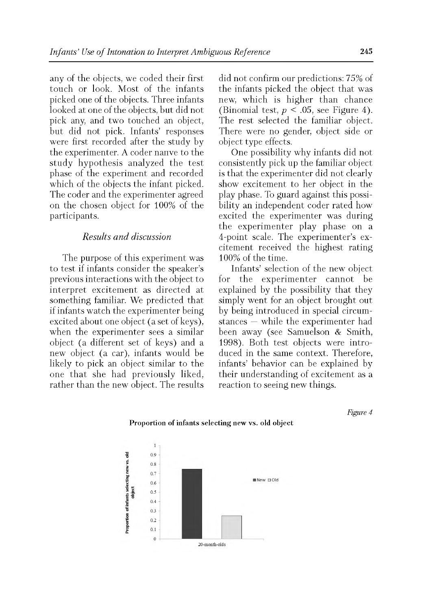any of the objects, we coded their first touch or look. Most of the infants picked one of the objects. Three infants looked at one of the objects, but did not pick any, and two touched an object, but did not pick. Infants' responses were first recorded after the study by the experimenter. A coder nanve to the study hypothesis analyzed the test phase of the experiment and recorded which of the objects the infant picked. The coder and the experimenter agreed on the chosen object for 100% of the participants.

# *Results and discussion*

The purpose of this experiment was to test if infants consider the speaker's previous interactions with the object to interpret excitement as directed at something familiar. We predicted that if infants watch the experimenter being excited about one object (a set of keys), when the experimenter sees a similar object (a different set of keys) and a new object (a car), infants would be likely to pick an object similar to the one that she had previously liked, rather than the new object. The results did not confirm our predictions: 75% of the infants picked the object that was new, which is higher than chance (Binomial test,  $p < 0.05$ , see Figure 4). The rest selected the familiar object. There were no gender, object side or object type effects.

One possibility why infants did not consistently pick up the familiar object is that the experimenter did not clearly show excitement to her object in the play phase. To guard against this possibility an independent coder rated how excited the experimenter was during the experimenter play phase on a 4-point scale. The experimenter's excitement received the highest rating 100% of the time.

Infants' selection of the new object for the experimenter cannot be explained by the possibility that they simply went for an object brought out by being introduced in special circumstances — while the experimenter had been away (see Samuelson & Smith, 1998). Both test objects were introduced in the same context. Therefore, infants' behavior can be explained by their understanding of excitement as a reaction to seeing new things.

*Figure 4*



#### Proportion of infants selecting new vs. old object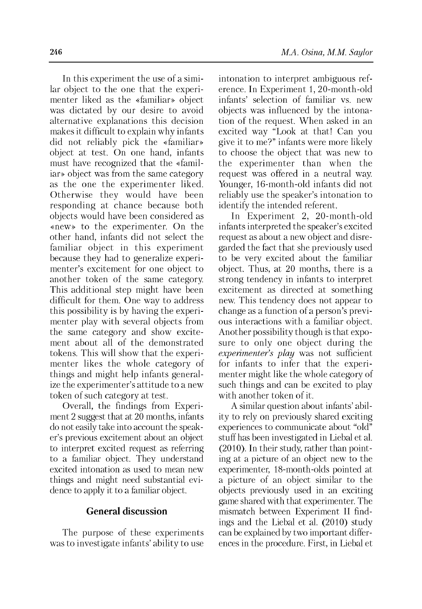In this experiment the use of a similar object to the one that the experimenter liked as the «familiar» object was dictated by our desire to avoid alternative explanations this decision makes it difficult to explain why infants did not reliably pick the «familiar» object at test. On one hand, infants must have recognized that the «familiar» object was from the same category as the one the experimenter liked. Otherwise they would have been responding at chance because both objects would have been considered as «new» to the experimenter. On the other hand, infants did not select the familiar object in this experiment because they had to generalize experimenter's excitement for one object to another token of the same category. This additional step might have been difficult for them. One way to address this possibility is by having the experimenter play with several objects from the same category and show excitement about all of the demonstrated tokens. This will show that the experimenter likes the whole category of things and might help infants generalize the experimenter's attitude to a new token of such category at test.

Overall, the findings from Experiment 2 suggest that at 20 months, infants do not easily take into account the speaker's previous excitement about an object to interpret excited request as referring to a familiar object. They understand excited intonation as used to mean new things and might need substantial evidence to apply it to a familiar object.

#### **General discussion**

The purpose of these experiments was to investigate infants' ability to use intonation to interpret ambiguous reference. In Experiment 1, 20-month-old infants' selection of familiar vs. new objects was influenced by the intonation of the request. When asked in an excited way "Look at that! Can you give it to me?" infants were more likely to choose the object that was new to the experimenter than when the request was offered in a neutral way. Younger, 16-month-old infants did not reliably use the speaker's intonation to identify the intended referent.

In Experiment 2, 20-month-old infants interpreted the speaker's excited request as about a new object and disregarded the fact that she previously used to be very excited about the familiar object. Thus, at 20 months, there is a strong tendency in infants to interpret excitement as directed at something new. This tendency does not appear to change as a function of a person's previous interactions with a familiar object. Another possibility though is that exposure to only one object during the *experimenter's play* was not sufficient for infants to infer that the experimenter might like the whole category of such things and can be excited to play with another token of it.

A similar question about infants' ability to rely on previously shared exciting experiences to communicate about "old" stuff has been investigated in Liebal et al. (2010). In their study, rather than pointing at a picture of an object new to the experimenter, 18-month-olds pointed at a picture of an object similar to the objects previously used in an exciting game shared with that experimenter. The mismatch between Experiment II findings and the Liebal et al. (2010) study can be explained by two important differences in the procedure. First, in Liebal et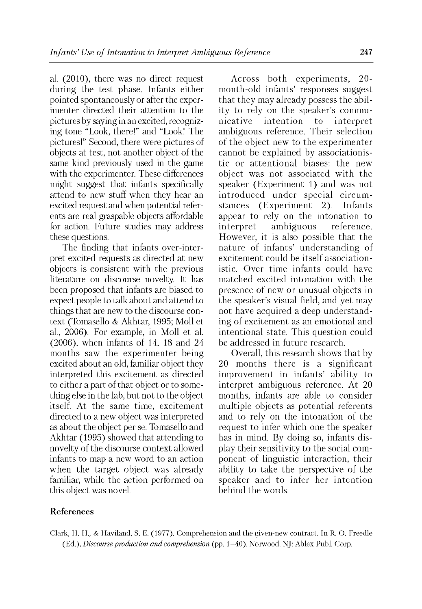al. (2010), there was no direct request during the test phase. Infants either pointed spontaneously or after the experimenter directed their attention to the pictures by saying in an excited, recognizing tone "Look, there!" and "Look! The pictures!" Second, there were pictures of objects at test, not another object of the same kind previously used in the game with the experimenter. These differences might suggest that infants specifically attend to new stuff when they hear an excited request and when potential referents are real graspable objects affordable for action. Future studies may address these questions.

The finding that infants over-interpret excited requests as directed at new objects is consistent with the previous literature on discourse novelty. It has been proposed that infants are biased to expect people to talk about and attend to things that are new to the discourse context (Tomasello & Akhtar, 1995; Moll et al., 2006). For example, in Moll et al. (2006), when infants of 14, 18 and 24 months saw the experimenter being excited about an old, familiar object they interpreted this excitement as directed to either a part of that object or to something else in the lab, but not to the object itself. At the same time, excitement directed to a new object was interpreted as about the object per se. Tomasello and Akhtar (1995) showed that attending to novelty of the discourse context allowed infants to map a new word to an action when the target object was already familiar, while the action performed on this object was novel.

Across both experiments, 20 month-old infants' responses suggest that they may already possess the ability to rely on the speaker's communicative intention to interpret ambiguous reference. Their selection of the object new to the experimenter cannot be explained by associationistic or attentional biases: the new object was not associated with the speaker (Experiment 1) and was not introduced under special circumstances (Experiment 2). Infants appear to rely on the intonation to interpret ambiguous reference. However, it is also possible that the nature of infants' understanding of excitement could be itself associationistic. Over time infants could have matched excited intonation with the presence of new or unusual objects in the speaker's visual field, and yet may not have acquired a deep understanding of excitement as an emotional and intentional state. This question could be addressed in future research.

Overall, this research shows that by 20 months there is a significant improvement in infants' ability to interpret ambiguous reference. At 20 months, infants are able to consider multiple objects as potential referents and to rely on the intonation of the request to infer which one the speaker has in mind. By doing so, infants display their sensitivity to the social component of linguistic interaction, their ability to take the perspective of the speaker and to infer her intention behind the words.

### **References**

Clark, H. H., & Haviland, S. E. (1977). Comprehension and the given-new contract. In R. O. Freedle (Ed.), *Discourse production and comprehension* (pp. 1-40). Norwood, NJ: Ablex Publ. Corp.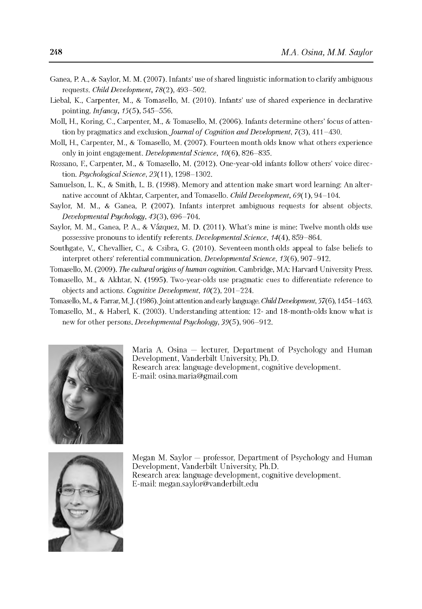- Ganea, P. A., & Saylor, M. M. (2007). Infants' use of shared linguistic information to clarify ambiguous requests. *Child Development,* 78(2), 493-502.
- Liebal, K., Carpenter, M., & Tomasello, M. (2010). Infants' use of shared experience in declarative pointing. *Infancy, 15(5),* 545-556.
- Moll, H., Koring, C., Carpenter, M., & Tomasello, M. (2006). Infants determine others' focus of attention by pragmatics and exclusion. *Journal of Cognition and Development*, 7(3), 411–430.
- Moll, H., Carpenter, M., & Tomasello, M. (2007). Fourteen month olds know what others experience only in joint engagement. *Developmental Science,* 10(6), 826-835.
- Rossano, F., Carpenter, M., & Tomasello, M. (2012). One-year-old infants follow others' voice direction. *Psychological Science, 23(11),* 1298-1302.
- Samuelson, L. K., & Smith, L. B. (1998). Memory and attention make smart word learning: An alternative account of Akhtar, Carpenter, and Tomasello. *Child Development, 69(1),* 94-104.
- Saylor, M. M., & Ganea, P. (2007). Infants interpret ambiguous requests for absent objects. *Developmental Psychology,* 43(3), 696-704.
- Saylor, M. M., Ganea, P. A., & Vázquez, M. D. (2011). What's mine is mine: Twelve month olds use possessive pronouns to identify referents. *Developmental Science*, *14*(4), 859-864.
- Southgate, V., Chevallier, C., & Csibra, G. (2010). Seventeen month olds appeal to false beliefs to interpret others' referential communication. *Developmental Science,* 13(6), 907-912.

Tomasello, M. (2009). *The cultural origins of human cognition.* Cambridge, MA: Harvard University Press.

- Tomasello, M., & Akhtar, N. (1995). Two-year-olds use pragmatic cues to differentiate reference to objects and actions. *Cognitive Development,* 10(2), 201-224.
- Tomasello, M., & Farrar, M. J. (1986). Joint attention and early language. *Child Development,* 57(6), 1454-1463.
- Tomasello, M., & Haberl, K. (2003). Understanding attention: 12- and 18-month-olds know what is new for other persons. *Developmental Psychology,* 39(5), 906-912.



Maria A. Osina — lecturer, Department of Psychology and Human Development, Vanderbilt University, Ph.D. Research area: language development, cognitive development. E-mail: [osina.maria@gmail.com](mailto:osina.maria@gmail.com)



Megan M. Saylor — professor, Department of Psychology and Human Development, Vanderbilt University, Ph.D. Research area: language development, cognitive development. E-mail: [megan.saylor@vanderbilt.edu](mailto:megan.saylor@vanderbilt.edu)